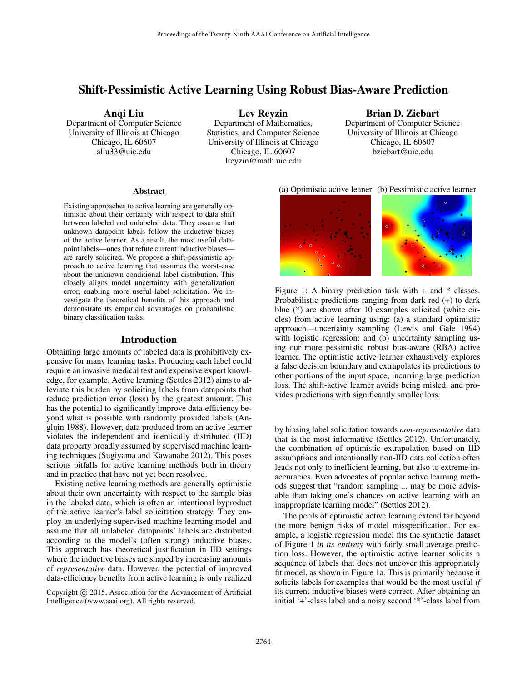# Shift-Pessimistic Active Learning Using Robust Bias-Aware Prediction

### Anqi Liu

Department of Computer Science University of Illinois at Chicago Chicago, IL 60607 aliu33@uic.edu

Lev Reyzin

Department of Mathematics, Statistics, and Computer Science University of Illinois at Chicago Chicago, IL 60607 lreyzin@math.uic.edu

Brian D. Ziebart Department of Computer Science University of Illinois at Chicago Chicago, IL 60607 bziebart@uic.edu

### **Abstract**

Existing approaches to active learning are generally optimistic about their certainty with respect to data shift between labeled and unlabeled data. They assume that unknown datapoint labels follow the inductive biases of the active learner. As a result, the most useful datapoint labels—ones that refute current inductive biases are rarely solicited. We propose a shift-pessimistic approach to active learning that assumes the worst-case about the unknown conditional label distribution. This closely aligns model uncertainty with generalization error, enabling more useful label solicitation. We investigate the theoretical benefits of this approach and demonstrate its empirical advantages on probabilistic binary classification tasks.

### Introduction

Obtaining large amounts of labeled data is prohibitively expensive for many learning tasks. Producing each label could require an invasive medical test and expensive expert knowledge, for example. Active learning (Settles 2012) aims to alleviate this burden by soliciting labels from datapoints that reduce prediction error (loss) by the greatest amount. This has the potential to significantly improve data-efficiency beyond what is possible with randomly provided labels (Angluin 1988). However, data produced from an active learner violates the independent and identically distributed (IID) data property broadly assumed by supervised machine learning techniques (Sugiyama and Kawanabe 2012). This poses serious pitfalls for active learning methods both in theory and in practice that have not yet been resolved.

Existing active learning methods are generally optimistic about their own uncertainty with respect to the sample bias in the labeled data, which is often an intentional byproduct of the active learner's label solicitation strategy. They employ an underlying supervised machine learning model and assume that all unlabeled datapoints' labels are distributed according to the model's (often strong) inductive biases. This approach has theoretical justification in IID settings where the inductive biases are shaped by increasing amounts of *representative* data. However, the potential of improved data-efficiency benefits from active learning is only realized

#### (a) Optimistic active leaner (b) Pessimistic active learner



Figure 1: A binary prediction task with  $+$  and  $*$  classes. Probabilistic predictions ranging from dark red (+) to dark blue (\*) are shown after 10 examples solicited (white circles) from active learning using: (a) a standard optimistic approach—uncertainty sampling (Lewis and Gale 1994) with logistic regression; and (b) uncertainty sampling using our more pessimistic robust bias-aware (RBA) active learner. The optimistic active learner exhaustively explores a false decision boundary and extrapolates its predictions to other portions of the input space, incurring large prediction loss. The shift-active learner avoids being misled, and provides predictions with significantly smaller loss.

by biasing label solicitation towards *non-representative* data that is the most informative (Settles 2012). Unfortunately, the combination of optimistic extrapolation based on IID assumptions and intentionally non-IID data collection often leads not only to inefficient learning, but also to extreme inaccuracies. Even advocates of popular active learning methods suggest that "random sampling ... may be more advisable than taking one's chances on active learning with an inappropriate learning model" (Settles 2012).

The perils of optimistic active learning extend far beyond the more benign risks of model misspecification. For example, a logistic regression model fits the synthetic dataset of Figure 1 *in its entirety* with fairly small average prediction loss. However, the optimistic active learner solicits a sequence of labels that does not uncover this appropriately fit model, as shown in Figure 1a. This is primarily because it solicits labels for examples that would be the most useful *if* its current inductive biases were correct. After obtaining an initial '+'-class label and a noisy second '\*'-class label from

Copyright (c) 2015, Association for the Advancement of Artificial Intelligence (www.aaai.org). All rights reserved.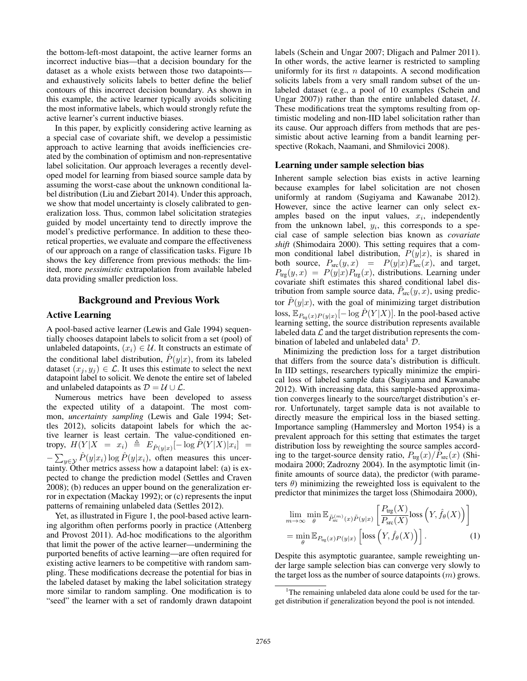the bottom-left-most datapoint, the active learner forms an incorrect inductive bias—that a decision boundary for the dataset as a whole exists between those two datapoints and exhaustively solicits labels to better define the belief contours of this incorrect decision boundary. As shown in this example, the active learner typically avoids soliciting the most informative labels, which would strongly refute the active learner's current inductive biases.

In this paper, by explicitly considering active learning as a special case of covariate shift, we develop a pessimistic approach to active learning that avoids inefficiencies created by the combination of optimism and non-representative label solicitation. Our approach leverages a recently developed model for learning from biased source sample data by assuming the worst-case about the unknown conditional label distribution (Liu and Ziebart 2014). Under this approach, we show that model uncertainty is closely calibrated to generalization loss. Thus, common label solicitation strategies guided by model uncertainty tend to directly improve the model's predictive performance. In addition to these theoretical properties, we evaluate and compare the effectiveness of our approach on a range of classification tasks. Figure 1b shows the key difference from previous methods: the limited, more *pessimistic* extrapolation from available labeled data providing smaller prediction loss.

### Background and Previous Work

### Active Learning

A pool-based active learner (Lewis and Gale 1994) sequentially chooses datapoint labels to solicit from a set (pool) of unlabeled datapoints,  $(x_i) \in \mathcal{U}$ . It constructs an estimate of the conditional label distribution,  $\hat{P}(y|x)$ , from its labeled dataset  $(x_j, y_j) \in \mathcal{L}$ . It uses this estimate to select the next datapoint label to solicit. We denote the entire set of labeled and unlabeled datapoints as  $\mathcal{D} = \mathcal{U} \cup \mathcal{L}$ .

Numerous metrics have been developed to assess the expected utility of a datapoint. The most common, *uncertainty sampling* (Lewis and Gale 1994; Settles 2012), solicits datapoint labels for which the active learner is least certain. The value-conditioned entropy,  $H(Y|X = x_i) \triangleq E_{\hat{P}(y|x)}[-\log \hat{P}(Y|X)|x_i] =$  $-\sum_{y\in\mathcal{Y}} \hat{P}(y|x_i) \log \hat{P}(y|x_i)$ , often measures this uncertainty. Other metrics assess how a datapoint label: (a) is expected to change the prediction model (Settles and Craven 2008); (b) reduces an upper bound on the generalization error in expectation (Mackay 1992); or (c) represents the input patterns of remaining unlabeled data (Settles 2012).

Yet, as illustrated in Figure 1, the pool-based active learning algorithm often performs poorly in practice (Attenberg and Provost 2011). Ad-hoc modifications to the algorithm that limit the power of the active learner—undermining the purported benefits of active learning—are often required for existing active learners to be competitive with random sampling. These modifications decrease the potential for bias in the labeled dataset by making the label solicitation strategy more similar to random sampling. One modification is to "seed" the learner with a set of randomly drawn datapoint labels (Schein and Ungar 2007; Dligach and Palmer 2011). In other words, the active learner is restricted to sampling uniformly for its first  $n$  datapoints. A second modification solicits labels from a very small random subset of the unlabeled dataset (e.g., a pool of 10 examples (Schein and Ungar 2007)) rather than the entire unlabeled dataset,  $U$ . These modifications treat the symptoms resulting from optimistic modeling and non-IID label solicitation rather than its cause. Our approach differs from methods that are pessimistic about active learning from a bandit learning perspective (Rokach, Naamani, and Shmilovici 2008).

#### Learning under sample selection bias

Inherent sample selection bias exists in active learning because examples for label solicitation are not chosen uniformly at random (Sugiyama and Kawanabe 2012). However, since the active learner can only select examples based on the input values,  $x_i$ , independently from the unknown label,  $y_i$ , this corresponds to a special case of sample selection bias known as *covariate shift* (Shimodaira 2000). This setting requires that a common conditional label distribution,  $P(y|x)$ , is shared in both source,  $P_{\rm src}(y, x) = P(y|x)P_{\rm src}(x)$ , and target,  $P_{\text{trg}}(y, x) = P(y|x)P_{\text{trg}}(x)$ , distributions. Learning under covariate shift estimates this shared conditional label distribution from sample source data,  $\tilde{P}_{\rm src}(y, x)$ , using predictor  $\hat{P}(y|x)$ , with the goal of minimizing target distribution loss,  $\mathbb{E}_{P_{\text{tr}_z}(x)P(y|x)}[-\log \hat{P}(Y|X)].$  In the pool-based active learning setting, the source distribution represents available labeled data  $\mathcal L$  and the target distribution represents the combination of labeled and unlabeled data  $\mathcal{D}$ .

Minimizing the prediction loss for a target distribution that differs from the source data's distribution is difficult. In IID settings, researchers typically minimize the empirical loss of labeled sample data (Sugiyama and Kawanabe 2012). With increasing data, this sample-based approximation converges linearly to the source/target distribution's error. Unfortunately, target sample data is not available to directly measure the empirical loss in the biased setting. Importance sampling (Hammersley and Morton 1954) is a prevalent approach for this setting that estimates the target distribution loss by reweighting the source samples according to the target-source density ratio,  $P_{\text{trg}}(x)/P_{\text{src}}(x)$  (Shimodaira 2000; Zadrozny 2004). In the asymptotic limit (infinite amounts of source data), the predictor (with parameters  $\theta$ ) minimizing the reweighted loss is equivalent to the predictor that minimizes the target loss (Shimodaira 2000),

$$
\lim_{m \to \infty} \min_{\theta} \mathbb{E}_{\tilde{P}_{\text{src}}^{(m)}(x)\tilde{P}(y|x)} \left[ \frac{P_{\text{trg}}(X)}{P_{\text{src}}(X)} \text{loss} \left( Y, \hat{f}_{\theta}(X) \right) \right]
$$
\n
$$
= \min_{\theta} \mathbb{E}_{P_{\text{trg}}(x)P(y|x)} \left[ \text{loss} \left( Y, \hat{f}_{\theta}(X) \right) \right]. \tag{1}
$$

Despite this asymptotic guarantee, sample reweighting under large sample selection bias can converge very slowly to the target loss as the number of source datapoints  $(m)$  grows.

<sup>&</sup>lt;sup>1</sup>The remaining unlabeled data alone could be used for the target distribution if generalization beyond the pool is not intended.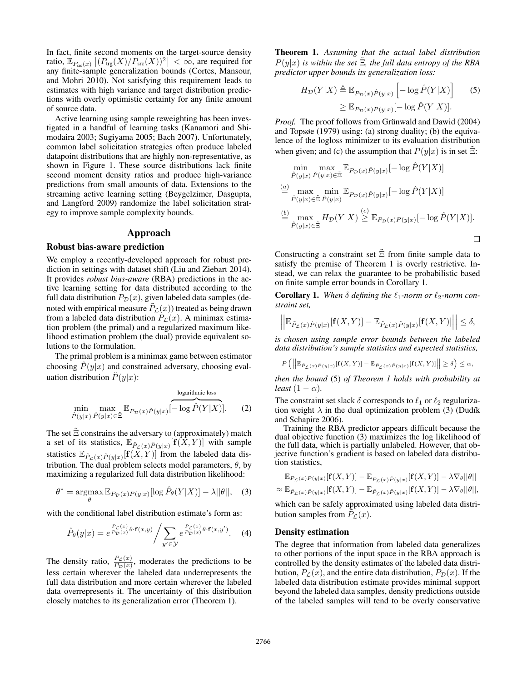In fact, finite second moments on the target-source density ratio,  $\mathbb{E}_{P_{\text{src}}(x)} [(P_{\text{trg}}(X)/P_{\text{src}}(X))^2] < \infty$ , are required for any finite-sample generalization bounds (Cortes, Mansour, and Mohri 2010). Not satisfying this requirement leads to estimates with high variance and target distribution predictions with overly optimistic certainty for any finite amount of source data.

Active learning using sample reweighting has been investigated in a handful of learning tasks (Kanamori and Shimodaira 2003; Sugiyama 2005; Bach 2007). Unfortunately, common label solicitation strategies often produce labeled datapoint distributions that are highly non-representative, as shown in Figure 1. These source distributions lack finite second moment density ratios and produce high-variance predictions from small amounts of data. Extensions to the streaming active learning setting (Beygelzimer, Dasgupta, and Langford 2009) randomize the label solicitation strategy to improve sample complexity bounds.

#### Approach

#### Robust bias-aware prediction

We employ a recently-developed approach for robust prediction in settings with dataset shift (Liu and Ziebart 2014). It provides *robust bias-aware* (RBA) predictions in the active learning setting for data distributed according to the full data distribution  $P_{\mathcal{D}}(x)$ , given labeled data samples (denoted with empirical measure  $P_{\mathcal{L}}(x)$  treated as being drawn from a labeled data distribution  $P_{\mathcal{L}}(x)$ . A minimax estimation problem (the primal) and a regularized maximum likelihood estimation problem (the dual) provide equivalent solutions to the formulation.

The primal problem is a minimax game between estimator choosing  $P(y|x)$  and constrained adversary, choosing evaluation distribution  $\tilde{P}(y|x)$ :

$$
\min_{\hat{P}(y|x)} \max_{\check{P}(y|x)\in\tilde{\Xi}} \mathbb{E}_{P_{\mathcal{D}}(x)\check{P}(y|x)}\left[\overbrace{-\log \hat{P}(Y|X)}^{\text{logarithmic loss}}\right].\tag{2}
$$

The set  $\tilde{\Xi}$  constrains the adversary to (approximately) match a set of its statistics,  $\mathbb{E}_{\tilde{P}_\mathcal{L}(x)\tilde{P}(y|x)}[\mathbf{f}(X,Y)]$  with sample statistics  $\mathbb{E}_{\tilde{P}_\mathcal{L}(x)\tilde{P}(y|x)}[\mathbf{f}(\tilde{X},Y)]$  from the labeled data distribution. The dual problem selects model parameters,  $\theta$ , by maximizing a regularized full data distribution likelihood:

$$
\theta^* = \underset{\theta}{\operatorname{argmax}} \mathbb{E}_{P_{\mathcal{D}}(x)P(y|x)}[\log \hat{P}_{\theta}(Y|X)] - \lambda ||\theta||, \quad (3)
$$

with the conditional label distribution estimate's form as:

$$
\hat{P}_{\theta}(y|x) = e^{\frac{P_{\mathcal{L}}(x)}{P_{\mathcal{D}}(x)}\theta \cdot \mathbf{f}(x,y)} / \sum_{y' \in \mathcal{Y}} e^{\frac{P_{\mathcal{L}}(x)}{P_{\mathcal{D}}(x)}\theta \cdot \mathbf{f}(x,y')}.
$$
 (4)

The density ratio,  $\frac{P_c(x)}{P_D(x)}$ , moderates the predictions to be less certain wherever the labeled data underrepresents the full data distribution and more certain wherever the labeled data overrepresents it. The uncertainty of this distribution closely matches to its generalization error (Theorem 1).

Theorem 1. *Assuming that the actual label distribution*  $P(y|x)$  *is within the set*  $\Xi$ *, the full data entropy of the RBA predictor upper bounds its generalization loss:*

$$
H_{\mathcal{D}}(Y|X) \triangleq \mathbb{E}_{P_{\mathcal{D}}(x)\hat{P}(y|x)} \left[ -\log \hat{P}(Y|X) \right] \qquad (5)
$$

$$
\geq \mathbb{E}_{P_{\mathcal{D}}(x)P(y|x)} [-\log \hat{P}(Y|X)].
$$

*Proof.* The proof follows from Grünwald and Dawid (2004) and Topsøe (1979) using: (a) strong duality; (b) the equivalence of the logloss minimizer to its evaluation distribution when given; and (c) the assumption that  $P(y|x)$  is in set  $\Xi$ :

$$
\min_{\hat{P}(y|x)} \max_{\tilde{P}(y|x)\in\tilde{\Xi}} \mathbb{E}_{P_{\mathcal{D}}(x)\tilde{P}(y|x)}[-\log \hat{P}(Y|X)]
$$
\n
$$
\stackrel{(a)}{=} \max_{\tilde{P}(y|x)\in\tilde{\Xi}} \min_{\hat{P}(y|x)} \mathbb{E}_{P_{\mathcal{D}}(x)\tilde{P}(y|x)}[-\log \hat{P}(Y|X)]
$$
\n
$$
\stackrel{(b)}{=} \max_{\hat{P}(y|x)\in\tilde{\Xi}} H_{\mathcal{D}}(Y|X) \stackrel{(c)}{\geq} \mathbb{E}_{P_{\mathcal{D}}(x)P(y|x)}[-\log \hat{P}(Y|X)].
$$

Constructing a constraint set  $\tilde{\Xi}$  from finite sample data to satisfy the premise of Theorem 1 is overly restrictive. Instead, we can relax the guarantee to be probabilistic based on finite sample error bounds in Corollary 1.

**Corollary 1.** When  $\delta$  defining the  $\ell_1$ -norm or  $\ell_2$ -norm con*straint set,*

$$
\left| \left| \mathbb{E}_{\tilde{P}_{\mathcal{L}}(x)\hat{P}(y|x)}[\mathbf{f}(X,Y)] - \mathbb{E}_{\tilde{P}_{\mathcal{L}}(x)\tilde{P}(y|x)}[\mathbf{f}(X,Y)] \right| \right| \leq \delta,
$$

*is chosen using sample error bounds between the labeled data distribution's sample statistics and expected statistics,*

$$
P\left(\left|\left|\mathbb{E}_{\tilde{P}_{\mathcal{L}}(x)\tilde{P}(y|x)}[\mathbf{f}(X,Y)]-\mathbb{E}_{\tilde{P}_{\mathcal{L}}(x)\tilde{P}(y|x)}[\mathbf{f}(X,Y)]\right|\right|\geq\delta\right)\leq\alpha,
$$

*then the bound* (5) *of Theorem 1 holds with probability at least*  $(1 - \alpha)$ *.* 

The constraint set slack  $\delta$  corresponds to  $\ell_1$  or  $\ell_2$  regularization weight  $\lambda$  in the dual optimization problem (3) (Dudík and Schapire 2006).

Training the RBA predictor appears difficult because the dual objective function (3) maximizes the log likelihood of the full data, which is partially unlabeled. However, that objective function's gradient is based on labeled data distribution statistics,

$$
\mathbb{E}_{P_{\mathcal{L}}(x)P(y|x)}[\mathbf{f}(X,Y)] - \mathbb{E}_{P_{\mathcal{L}}(x)\hat{P}(y|x)}[\mathbf{f}(X,Y)] - \lambda \nabla_{\theta}||\theta||
$$
  

$$
\approx \mathbb{E}_{\tilde{P}_{\mathcal{L}}(x)\tilde{P}(y|x)}[\mathbf{f}(X,Y)] - \mathbb{E}_{\tilde{P}_{\mathcal{L}}(x)\hat{P}(y|x)}[\mathbf{f}(X,Y)] - \lambda \nabla_{\theta}||\theta||,
$$

which can be safely approximated using labeled data distribution samples from  $\hat{P}_{\mathcal{L}}(x)$ .

### Density estimation

The degree that information from labeled data generalizes to other portions of the input space in the RBA approach is controlled by the density estimates of the labeled data distribution,  $P_{\mathcal{L}}(x)$ , and the entire data distribution,  $P_{\mathcal{D}}(x)$ . If the labeled data distribution estimate provides minimal support beyond the labeled data samples, density predictions outside of the labeled samples will tend to be overly conservative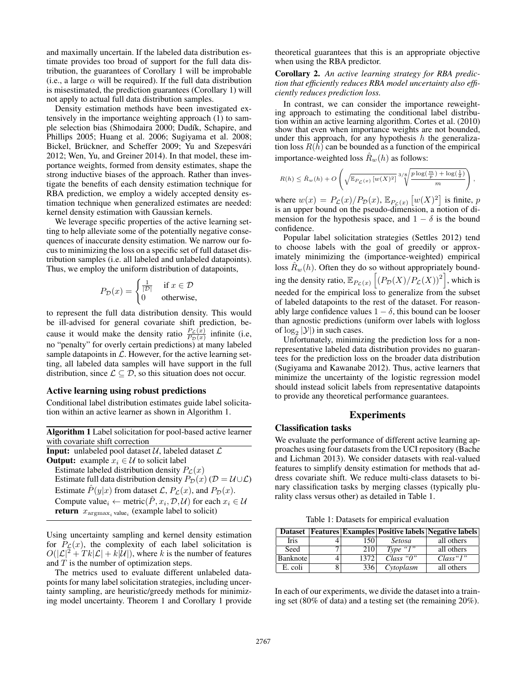and maximally uncertain. If the labeled data distribution estimate provides too broad of support for the full data distribution, the guarantees of Corollary 1 will be improbable (i.e., a large  $\alpha$  will be required). If the full data distribution is misestimated, the prediction guarantees (Corollary 1) will not apply to actual full data distribution samples.

Density estimation methods have been investigated extensively in the importance weighting approach (1) to sample selection bias (Shimodaira 2000; Dudík, Schapire, and Phillips 2005; Huang et al. 2006; Sugiyama et al. 2008; Bickel, Brückner, and Scheffer 2009; Yu and Szepesvári 2012; Wen, Yu, and Greiner 2014). In that model, these importance weights, formed from density estimates, shape the strong inductive biases of the approach. Rather than investigate the benefits of each density estimation technique for RBA prediction, we employ a widely accepted density estimation technique when generalized estimates are needed: kernel density estimation with Gaussian kernels.

We leverage specific properties of the active learning setting to help alleviate some of the potentially negative consequences of inaccurate density estimation. We narrow our focus to minimizing the loss on a specific set of full dataset distribution samples (i.e. all labeled and unlabeled datapoints). Thus, we employ the uniform distribution of datapoints,

$$
P_{\mathcal{D}}(x) = \begin{cases} \frac{1}{|\mathcal{D}|} & \text{if } x \in \mathcal{D} \\ 0 & \text{otherwise,} \end{cases}
$$

to represent the full data distribution density. This would be ill-advised for general covariate shift prediction, because it would make the density ratio  $\frac{P_c(x)}{P_p(x)}$  infinite (i.e. no "penalty" for overly certain predictions) at many labeled sample datapoints in  $\mathcal{L}$ . However, for the active learning setting, all labeled data samples will have support in the full distribution, since  $\mathcal{L} \subseteq \mathcal{D}$ , so this situation does not occur.

#### Active learning using robust predictions

Conditional label distribution estimates guide label solicitation within an active learner as shown in Algorithm 1.

Using uncertainty sampling and kernel density estimation for  $P_{\mathcal{L}}(x)$ , the complexity of each label solicitation is  $O(|\mathcal{L}|^2 + Tk|\mathcal{L}| + k|\mathcal{U}|)$ , where k is the number of features and  $T$  is the number of optimization steps.

The metrics used to evaluate different unlabeled datapoints for many label solicitation strategies, including uncertainty sampling, are heuristic/greedy methods for minimizing model uncertainty. Theorem 1 and Corollary 1 provide theoretical guarantees that this is an appropriate objective when using the RBA predictor.

Corollary 2. *An active learning strategy for RBA prediction that efficiently reduces RBA model uncertainty also efficiently reduces prediction loss.*

In contrast, we can consider the importance reweighting approach to estimating the conditional label distribution within an active learning algorithm. Cortes et al. (2010) show that even when importance weights are not bounded, under this approach, for any hypothesis  $h$  the generalization loss  $R(h)$  can be bounded as a function of the empirical importance-weighted loss  $\hat{R}_w(h)$  as follows:

$$
R(h) \leq \hat{R}_w(h) + O\left(\sqrt{\mathbb{E}_{P_{\mathcal{L}}(x)}\left[w(X)^2\right]} \sqrt[3/\sqrt[8]{\frac{p\log(\frac{m}{p}) + \log(\frac{1}{\delta})}{m}}\right),
$$

where  $w(x) = P_{\mathcal{L}}(x)/P_{\mathcal{D}}(x)$ ,  $\mathbb{E}_{P_{\mathcal{L}}(x)} [w(X)^2]$  is finite, p is an upper bound on the pseudo-dimension, a notion of dimension for the hypothesis space, and  $1 - \delta$  is the bound confidence.

Popular label solicitation strategies (Settles 2012) tend to choose labels with the goal of greedily or approximately minimizing the (importance-weighted) empirical loss  $\hat{R}_w(h)$ . Often they do so without appropriately bounding the density ratio,  $\mathbb{E}_{P_{\mathcal{L}}(x)} \left[ (P_{\mathcal{D}}(X)/P_{\mathcal{L}}(X))^2 \right]$ , which is needed for the empirical loss to generalize from the subset of labeled datapoints to the rest of the dataset. For reasonably large confidence values  $1 - \delta$ , this bound can be looser than agnostic predictions (uniform over labels with logloss of  $log_2 |\mathcal{Y}|$ ) in such cases.

Unfortunately, minimizing the prediction loss for a nonrepresentative labeled data distribution provides no guarantees for the prediction loss on the broader data distribution (Sugiyama and Kawanabe 2012). Thus, active learners that minimize the uncertainty of the logistic regression model should instead solicit labels from representative datapoints to provide any theoretical performance guarantees.

### Experiments

#### Classification tasks

We evaluate the performance of different active learning approaches using four datasets from the UCI repository (Bache and Lichman 2013). We consider datasets with real-valued features to simplify density estimation for methods that address covariate shift. We reduce multi-class datasets to binary classification tasks by merging classes (typically plurality class versus other) as detailed in Table 1.

Table 1: Datasets for empirical evaluation

|             |      |               | Dataset   Features   Examples   Positive labels   Negative labels |
|-------------|------|---------------|-------------------------------------------------------------------|
| <b>Iris</b> | 150. | <i>Setosa</i> | all others                                                        |
| Seed        | 210  | Type " $1$ "  | all others                                                        |
| Banknote    | 1372 | Class "0"     | Class "l"                                                         |
| E. coli     | 336  | Cytoplasm     | all others                                                        |

In each of our experiments, we divide the dataset into a training set (80% of data) and a testing set (the remaining 20%).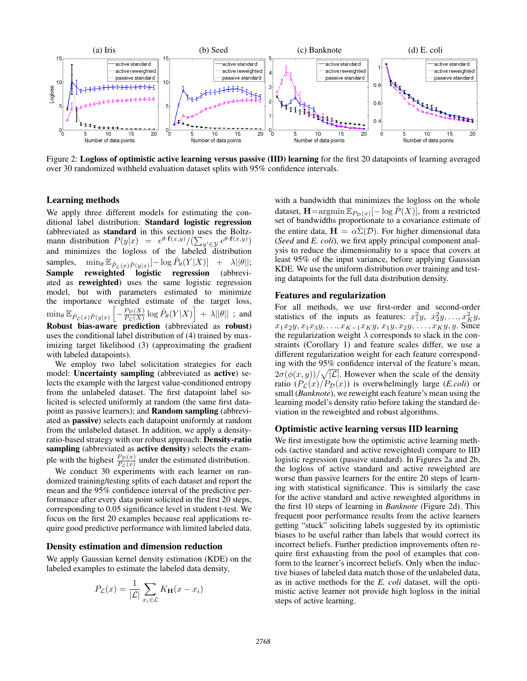

Figure 2: Logloss of optimistic active learning versus passive (IID) learning for the first 20 datapoints of learning averaged over 30 randomized withheld evaluation dataset splits with 95% confidence intervals.

#### Learning methods

We apply three different models for estimating the conditional label distribution: Standard logistic regression (abbreviated as standard in this section) uses the Boltzmann distribution  $P(y|x) = e^{\theta \cdot \mathbf{f}(x,y)}/(\sum_{y' \in \mathcal{Y}} e^{\theta \cdot \mathbf{f}(x,y)})$ and minimizes the logloss of the labeled distribution samples,  $\min_{\theta} \mathbb{E}_{\tilde{P}_{\mathcal{L}}(x)\tilde{P}(y|x)}[-\log \hat{P}_{\theta}(Y|X)] + \lambda ||\theta||;$ Sample reweighted logistic regression (abbreviated as reweighted) uses the same logistic regression model, but with parameters estimated to minimize the importance weighted estimate of the target loss,  $\min_{\theta} \mathbb{E}_{\tilde{P}_{\mathcal{L}}(x)\tilde{P}(y|x)}\left[ \right]$  $-\frac{P_{\mathcal{D}}(X)}{P_{\mathcal{D}}(X)}$  $\left. \frac{P_{\mathcal{D}}(X)}{P_{\mathcal{L}}(X)} \log \hat{P}_{\theta}(Y|X) \right| \, + \, \lambda ||\theta|| \,$  ; and Robust bias-aware prediction (abbreviated as robust) uses the conditional label distribution of (4) trained by maximizing target likelihood (3) (approximating the gradient with labeled datapoints).

We employ two label solicitation strategies for each model: Uncertainty sampling (abbreviated as active) selects the example with the largest value-conditioned entropy from the unlabeled dataset. The first datapoint label solicited is selected uniformly at random (the same first datapoint as passive learners); and Random sampling (abbreviated as passive) selects each datapoint uniformly at random from the unlabeled dataset. In addition, we apply a densityratio-based strategy with our robust approach: Density-ratio sampling (abbreviated as active density) selects the example with the highest  $\frac{P_D(x)}{P_L(x)}$  under the estimated distribution.

We conduct 30 experiments with each learner on randomized training/testing splits of each dataset and report the mean and the 95% confidence interval of the predictive performance after every data point solicited in the first 20 steps, corresponding to 0.05 significance level in student t-test. We focus on the first 20 examples because real applications require good predictive performance with limited labeled data.

#### Density estimation and dimension reduction

We apply Gaussian kernel density estimation (KDE) on the labeled examples to estimate the labeled data density,

$$
P_{\mathcal{L}}(x) = \frac{1}{|\mathcal{L}|} \sum_{x_i \in \mathcal{L}} K_{\mathbf{H}}(x - x_i)
$$

with a bandwidth that minimizes the logloss on the whole dataset,  $\mathbf{H} = \arg\min \mathbb{E}_{P_{\mathcal{D}}(x)}[-\log \hat{P}(X)]$ , from a restricted set of bandwidths proportionate to a covariance estimate of the entire data,  $\mathbf{H} = \alpha \hat{\Sigma}(\mathcal{D})$ . For higher dimensional data (*Seed* and *E. coli*), we first apply principal component analysis to reduce the dimensionality to a space that covers at least 95% of the input variance, before applying Gaussian KDE. We use the uniform distribution over training and testing datapoints for the full data distribution density.

#### Features and regularization

For all methods, we use first-order and second-order statistics of the inputs as features:  $x_1^2y, x_2^2y, \ldots, x_K^2y$ ,  $x_1x_2y, x_1x_3y, \ldots, x_{K-1}x_Ky, x_1y, x_2y, \ldots, x_Ky, y$ . Since the regularization weight  $\lambda$  corresponds to slack in the constraints (Corollary 1) and feature scales differ, we use a different regularization weight for each feature corresponding with the 95% confidence interval of the feature's mean,  $2\sigma(\phi(x,y))/\sqrt{|\mathcal{L}|}$ . However when the scale of the density ratio  $(P_{\mathcal{L}}(x)/P_{\mathcal{D}}(x))$  is overwhelmingly large (*E.coli*) or small (*Banknote*), we reweight each feature's mean using the learning model's density ratio before taking the standard deviation in the reweighted and robust algorithms.

#### Optimistic active learning versus IID learning

We first investigate how the optimistic active learning methods (active standard and active reweighted) compare to IID logistic regression (passive standard). In Figures 2a and 2b, the logloss of active standard and active reweighted are worse than passive learners for the entire 20 steps of learning with statistical significance. This is similarly the case for the active standard and active reweighted algorithms in the first 10 steps of learning in *Banknote* (Figure 2d). This frequent poor performance results from the active learners getting "stuck" soliciting labels suggested by its optimistic biases to be useful rather than labels that would correct its incorrect beliefs. Further prediction improvements often require first exhausting from the pool of examples that conform to the learner's incorrect beliefs. Only when the inductive biases of labeled data match those of the unlabeled data, as in active methods for the *E. coli* dataset, will the optimistic active learner not provide high logloss in the initial steps of active learning.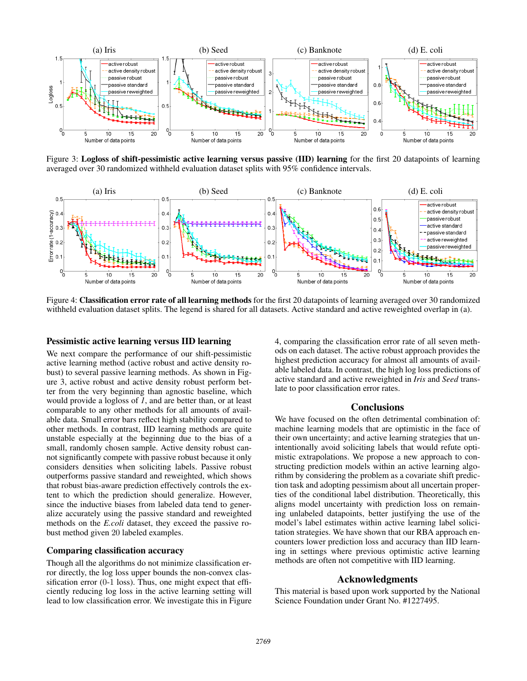

Figure 3: Logloss of shift-pessimistic active learning versus passive (IID) learning for the first 20 datapoints of learning averaged over 30 randomized withheld evaluation dataset splits with 95% confidence intervals.



Figure 4: Classification error rate of all learning methods for the first 20 datapoints of learning averaged over 30 randomized withheld evaluation dataset splits. The legend is shared for all datasets. Active standard and active reweighted overlap in (a).

### Pessimistic active learning versus IID learning

We next compare the performance of our shift-pessimistic active learning method (active robust and active density robust) to several passive learning methods. As shown in Figure 3, active robust and active density robust perform better from the very beginning than agnostic baseline, which would provide a logloss of *1*, and are better than, or at least comparable to any other methods for all amounts of available data. Small error bars reflect high stability compared to other methods. In contrast, IID learning methods are quite unstable especially at the beginning due to the bias of a small, randomly chosen sample. Active density robust cannot significantly compete with passive robust because it only considers densities when soliciting labels. Passive robust outperforms passive standard and reweighted, which shows that robust bias-aware prediction effectively controls the extent to which the prediction should generalize. However, since the inductive biases from labeled data tend to generalize accurately using the passive standard and reweighted methods on the *E.coli* dataset, they exceed the passive robust method given 20 labeled examples.

### Comparing classification accuracy

Though all the algorithms do not minimize classification error directly, the log loss upper bounds the non-convex classification error (0-1 loss). Thus, one might expect that efficiently reducing log loss in the active learning setting will lead to low classification error. We investigate this in Figure 4, comparing the classification error rate of all seven methods on each dataset. The active robust approach provides the highest prediction accuracy for almost all amounts of available labeled data. In contrast, the high log loss predictions of active standard and active reweighted in *Iris* and *Seed* translate to poor classification error rates.

## **Conclusions**

We have focused on the often detrimental combination of: machine learning models that are optimistic in the face of their own uncertainty; and active learning strategies that unintentionally avoid soliciting labels that would refute optimistic extrapolations. We propose a new approach to constructing prediction models within an active learning algorithm by considering the problem as a covariate shift prediction task and adopting pessimism about all uncertain properties of the conditional label distribution. Theoretically, this aligns model uncertainty with prediction loss on remaining unlabeled datapoints, better justifying the use of the model's label estimates within active learning label solicitation strategies. We have shown that our RBA approach encounters lower prediction loss and accuracy than IID learning in settings where previous optimistic active learning methods are often not competitive with IID learning.

### Acknowledgments

This material is based upon work supported by the National Science Foundation under Grant No. #1227495.